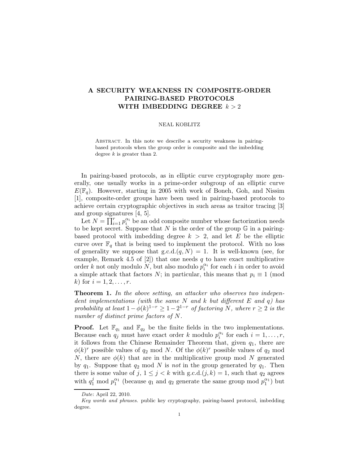## A SECURITY WEAKNESS IN COMPOSITE-ORDER PAIRING-BASED PROTOCOLS WITH IMBEDDING DEGREE  $k > 2$

## NEAL KOBLITZ

ABSTRACT. In this note we describe a security weakness in pairingbased protocols when the group order is composite and the imbedding degree  $k$  is greater than 2.

In pairing-based protocols, as in elliptic curve cryptography more generally, one usually works in a prime-order subgroup of an elliptic curve  $E(\mathbb{F}_q)$ . However, starting in 2005 with work of Boneh, Goh, and Nissim [1], composite-order groups have been used in pairing-based protocols to achieve certain cryptographic objectives in such areas as traitor tracing [3] and group signatures [4, 5].

Let  $N = \prod_{i=1}^{r} p_i^{\alpha_i}$  $\frac{\alpha_i}{i}$  be an odd composite number whose factorization needs to be kept secret. Suppose that  $N$  is the order of the group  $\mathbb G$  in a pairingbased protocol with imbedding degree  $k > 2$ , and let E be the elliptic curve over  $\mathbb{F}_q$  that is being used to implement the protocol. With no loss of generality we suppose that  $g.c.d.(q, N) = 1$ . It is well-known (see, for example, Remark 4.5 of  $[2]$ ) that one needs q to have exact multiplicative order k not only modulo N, but also modulo  $p_i^{\alpha_i}$  $\frac{\alpha_i}{i}$  for each *i* in order to avoid a simple attack that factors N; in particular, this means that  $p_i \equiv 1 \pmod{1}$ k) for  $i = 1, 2, ..., r$ .

Theorem 1. In the above setting, an attacker who observes two independent implementations (with the same N and k but different E and q) has probability at least  $1-\phi(k)^{1-r} \geq 1-2^{1-r}$  of factoring N, where  $r \geq 2$  is the number of distinct prime factors of N.

**Proof.** Let  $\mathbb{F}_{q_1}$  and  $\mathbb{F}_{q_2}$  be the finite fields in the two implementations. Because each  $q_j$  must have exact order k modulo  $p_i^{\alpha_i}$  $i$ <sup> $\alpha_i$ </sup> for each  $i = 1, \ldots, r$ , it follows from the Chinese Remainder Theorem that, given  $q_1$ , there are  $\phi(k)^r$  possible values of  $q_2 \mod N$ . Of the  $\phi(k)^r$  possible values of  $q_2 \mod N$ N, there are  $\phi(k)$  that are in the multiplicative group mod N generated by  $q_1$ . Suppose that  $q_2 \mod N$  is not in the group generated by  $q_1$ . Then there is some value of  $j, 1 \leq j < k$  with  $g.c.d.(j,k) = 1$ , such that  $q_2$  agrees with  $q_1^j$  mod  $p_1^{\alpha_1}$  (because  $q_1$  and  $q_2$  generate the same group mod  $p_1^{\alpha_1}$ ) but

Date: April 22, 2010.

Key words and phrases. public key cryptography, pairing-based protocol, imbedding degree.